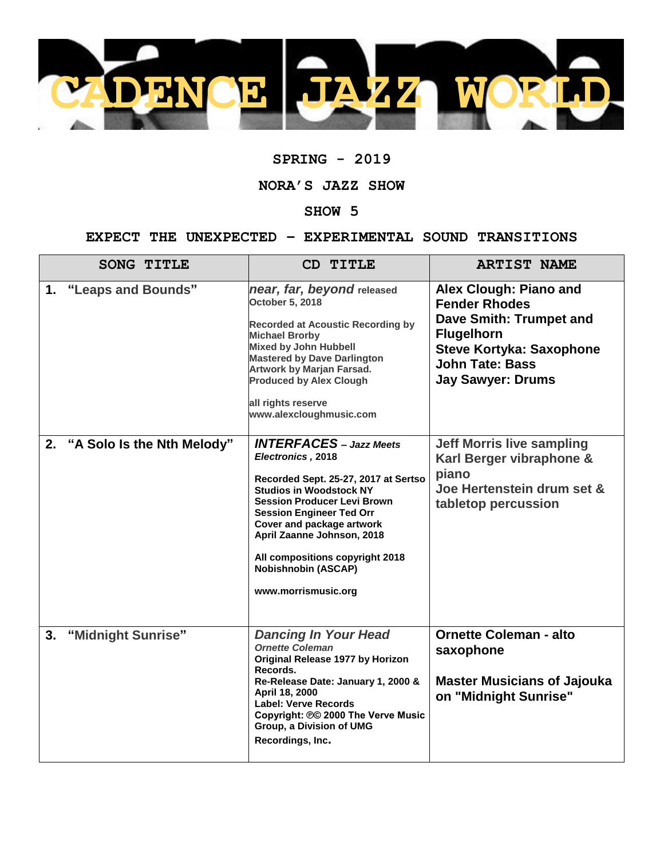

## **SPRING - 2019**

## **NORA'S JAZZ SHOW**

## **SHOW 5**

## **EXPECT THE UNEXPECTED – EXPERIMENTAL SOUND TRANSITIONS**

| <b>SONG TITLE</b>                | CD TITLE                                                                                                                                                                                                                                                                                                                                                  | <b>ARTIST NAME</b>                                                                                                                                                                      |
|----------------------------------|-----------------------------------------------------------------------------------------------------------------------------------------------------------------------------------------------------------------------------------------------------------------------------------------------------------------------------------------------------------|-----------------------------------------------------------------------------------------------------------------------------------------------------------------------------------------|
| "Leaps and Bounds"<br>1.         | near, far, beyond released<br><b>October 5, 2018</b><br><b>Recorded at Acoustic Recording by</b><br><b>Michael Brorby</b><br><b>Mixed by John Hubbell</b><br><b>Mastered by Dave Darlington</b><br><b>Artwork by Marjan Farsad.</b><br><b>Produced by Alex Clough</b><br>all rights reserve<br>www.alexcloughmusic.com                                    | Alex Clough: Piano and<br><b>Fender Rhodes</b><br>Dave Smith: Trumpet and<br><b>Flugelhorn</b><br><b>Steve Kortyka: Saxophone</b><br><b>John Tate: Bass</b><br><b>Jay Sawyer: Drums</b> |
| "A Solo Is the Nth Melody"<br>2. | <b>INTERFACES</b> - Jazz Meets<br>Electronics, 2018<br>Recorded Sept. 25-27, 2017 at Sertso<br><b>Studios in Woodstock NY</b><br><b>Session Producer Levi Brown</b><br><b>Session Engineer Ted Orr</b><br>Cover and package artwork<br>April Zaanne Johnson, 2018<br>All compositions copyright 2018<br><b>Nobishnobin (ASCAP)</b><br>www.morrismusic.org | <b>Jeff Morris live sampling</b><br>Karl Berger vibraphone &<br>piano<br>Joe Hertenstein drum set &<br>tabletop percussion                                                              |
| 3.<br>"Midnight Sunrise"         | <b>Dancing In Your Head</b><br><b>Ornette Coleman</b><br>Original Release 1977 by Horizon<br>Records.<br>Re-Release Date: January 1, 2000 &<br>April 18, 2000<br><b>Label: Verve Records</b><br>Copyright: 00 2000 The Verve Music<br>Group, a Division of UMG<br>Recordings, Inc.                                                                        | <b>Ornette Coleman - alto</b><br>saxophone<br><b>Master Musicians of Jajouka</b><br>on "Midnight Sunrise"                                                                               |